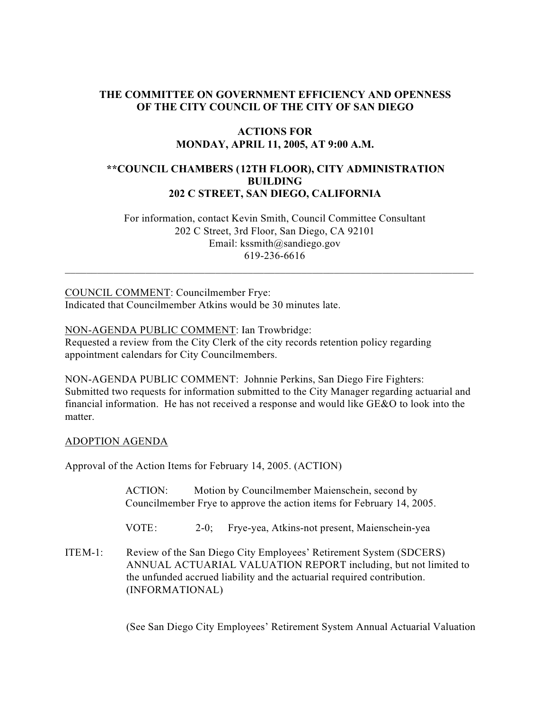## **THE COMMITTEE ON GOVERNMENT EFFICIENCY AND OPENNESS OF THE CITY COUNCIL OF THE CITY OF SAN DIEGO**

# **ACTIONS FOR MONDAY, APRIL 11, 2005, AT 9:00 A.M.**

# **\*\*COUNCIL CHAMBERS (12TH FLOOR), CITY ADMINISTRATION BUILDING 202 C STREET, SAN DIEGO, CALIFORNIA**

 For information, contact Kevin Smith, Council Committee Consultant 202 C Street, 3rd Floor, San Diego, CA 92101 Email: kssmith@sandiego.gov 619-236-6616

 $\_$  , and the set of the set of the set of the set of the set of the set of the set of the set of the set of the set of the set of the set of the set of the set of the set of the set of the set of the set of the set of th

COUNCIL COMMENT: Councilmember Frye: Indicated that Councilmember Atkins would be 30 minutes late.

NON-AGENDA PUBLIC COMMENT: Ian Trowbridge:

Requested a review from the City Clerk of the city records retention policy regarding appointment calendars for City Councilmembers.

NON-AGENDA PUBLIC COMMENT: Johnnie Perkins, San Diego Fire Fighters: Submitted two requests for information submitted to the City Manager regarding actuarial and financial information. He has not received a response and would like GE&O to look into the matter.

#### ADOPTION AGENDA

Approval of the Action Items for February 14, 2005. (ACTION)

| ACTION: | Motion by Councilmember Maienschein, second by                        |
|---------|-----------------------------------------------------------------------|
|         | Councilmember Frye to approve the action items for February 14, 2005. |

VOTE: 2-0; Frye-yea, Atkins-not present, Maienschein-yea

ITEM-1: Review of the San Diego City Employees' Retirement System (SDCERS) ANNUAL ACTUARIAL VALUATION REPORT including, but not limited to the unfunded accrued liability and the actuarial required contribution. (INFORMATIONAL)

(See San Diego City Employees' Retirement System Annual Actuarial Valuation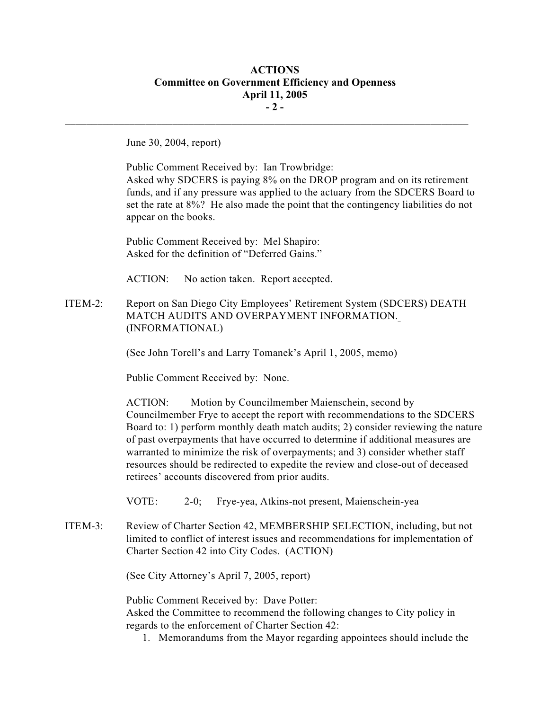## **ACTIONS Committee on Government Efficiency and Openness April 11, 2005 - 2 -**

 $\mathcal{L}_\text{max}$ 

June 30, 2004, report)

Public Comment Received by: Ian Trowbridge: Asked why SDCERS is paying 8% on the DROP program and on its retirement funds, and if any pressure was applied to the actuary from the SDCERS Board to set the rate at 8%? He also made the point that the contingency liabilities do not appear on the books.

Public Comment Received by: Mel Shapiro: Asked for the definition of "Deferred Gains."

ACTION: No action taken. Report accepted.

ITEM-2: Report on San Diego City Employees' Retirement System (SDCERS) DEATH MATCH AUDITS AND OVERPAYMENT INFORMATION. (INFORMATIONAL)

(See John Torell's and Larry Tomanek's April 1, 2005, memo)

Public Comment Received by: None.

ACTION: Motion by Councilmember Maienschein, second by Councilmember Frye to accept the report with recommendations to the SDCERS Board to: 1) perform monthly death match audits; 2) consider reviewing the nature of past overpayments that have occurred to determine if additional measures are warranted to minimize the risk of overpayments; and 3) consider whether staff resources should be redirected to expedite the review and close-out of deceased retirees' accounts discovered from prior audits.

VOTE: 2-0; Frye-yea, Atkins-not present, Maienschein-yea

ITEM-3: Review of Charter Section 42, MEMBERSHIP SELECTION, including, but not limited to conflict of interest issues and recommendations for implementation of Charter Section 42 into City Codes. (ACTION)

(See City Attorney's April 7, 2005, report)

Public Comment Received by: Dave Potter:

Asked the Committee to recommend the following changes to City policy in regards to the enforcement of Charter Section 42:

1. Memorandums from the Mayor regarding appointees should include the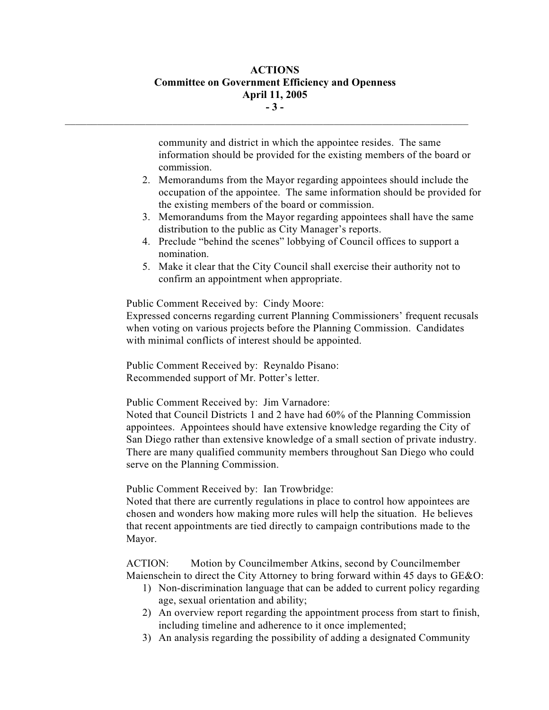# **ACTIONS Committee on Government Efficiency and Openness April 11, 2005 - 3 -**

 $\mathcal{L}_\text{max}$ 

community and district in which the appointee resides. The same information should be provided for the existing members of the board or commission.

- 2. Memorandums from the Mayor regarding appointees should include the occupation of the appointee. The same information should be provided for the existing members of the board or commission.
- 3. Memorandums from the Mayor regarding appointees shall have the same distribution to the public as City Manager's reports.
- 4. Preclude "behind the scenes" lobbying of Council offices to support a nomination.
- 5. Make it clear that the City Council shall exercise their authority not to confirm an appointment when appropriate.

Public Comment Received by: Cindy Moore:

Expressed concerns regarding current Planning Commissioners' frequent recusals when voting on various projects before the Planning Commission. Candidates with minimal conflicts of interest should be appointed.

Public Comment Received by: Reynaldo Pisano: Recommended support of Mr. Potter's letter.

Public Comment Received by: Jim Varnadore:

Noted that Council Districts 1 and 2 have had 60% of the Planning Commission appointees. Appointees should have extensive knowledge regarding the City of San Diego rather than extensive knowledge of a small section of private industry. There are many qualified community members throughout San Diego who could serve on the Planning Commission.

Public Comment Received by: Ian Trowbridge:

Noted that there are currently regulations in place to control how appointees are chosen and wonders how making more rules will help the situation. He believes that recent appointments are tied directly to campaign contributions made to the Mayor.

ACTION: Motion by Councilmember Atkins, second by Councilmember Maienschein to direct the City Attorney to bring forward within 45 days to GE&O:

- 1) Non-discrimination language that can be added to current policy regarding age, sexual orientation and ability;
- 2) An overview report regarding the appointment process from start to finish, including timeline and adherence to it once implemented;
- 3) An analysis regarding the possibility of adding a designated Community